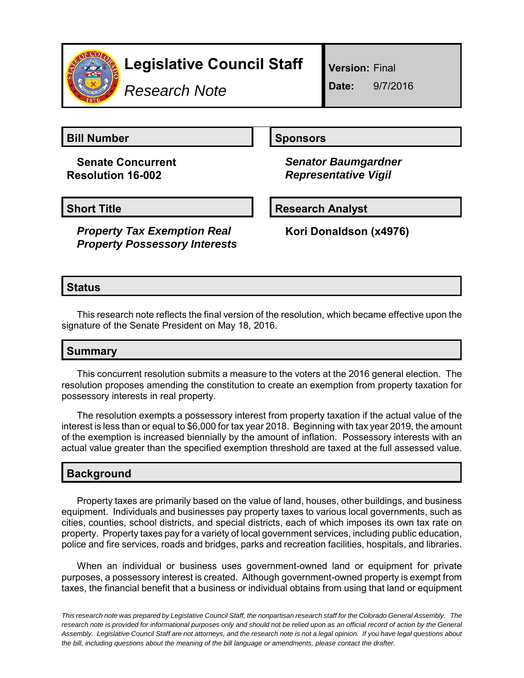

# **Legislative Council Staff**

*Research Note*

**Version:** Final

**Date:** 9/7/2016

**Bill Number Sponsors** 

**Senate Concurrent Resolution 16-002**

*Senator Baumgardner Representative Vigil*

*Property Tax Exemption Real Property Possessory Interests*

**Short Title Community Community Community Research Analyst** 

**Kori Donaldson (x4976)**

## **Status**

This research note reflects the final version of the resolution, which became effective upon the signature of the Senate President on May 18, 2016.

## **Summary**

This concurrent resolution submits a measure to the voters at the 2016 general election. The resolution proposes amending the constitution to create an exemption from property taxation for possessory interests in real property.

The resolution exempts a possessory interest from property taxation if the actual value of the interest is less than or equal to \$6,000 for tax year 2018. Beginning with tax year 2019, the amount of the exemption is increased biennially by the amount of inflation. Possessory interests with an actual value greater than the specified exemption threshold are taxed at the full assessed value.

## **Background**

Property taxes are primarily based on the value of land, houses, other buildings, and business equipment. Individuals and businesses pay property taxes to various local governments, such as cities, counties, school districts, and special districts, each of which imposes its own tax rate on property. Property taxes pay for a variety of local government services, including public education, police and fire services, roads and bridges, parks and recreation facilities, hospitals, and libraries.

When an individual or business uses government-owned land or equipment for private purposes, a possessory interest is created. Although government-owned property is exempt from taxes, the financial benefit that a business or individual obtains from using that land or equipment

*This research note was prepared by Legislative Council Staff, the nonpartisan research staff for the Colorado General Assembly. The research note is provided for informational purposes only and should not be relied upon as an official record of action by the General Assembly. Legislative Council Staff are not attorneys, and the research note is not a legal opinion. If you have legal questions about the bill, including questions about the meaning of the bill language or amendments, please contact the drafter.*